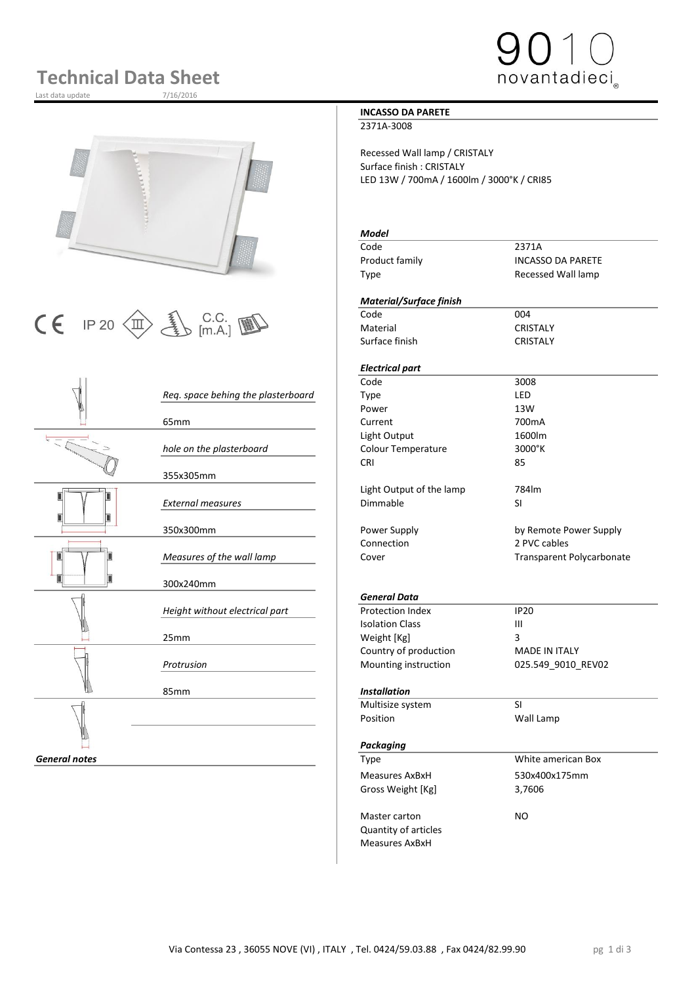## **Technical Data Sheet**

Last data update







|                      |                                    | Code                     | 3008           |
|----------------------|------------------------------------|--------------------------|----------------|
|                      | Req. space behing the plasterboard | <b>Type</b>              | LED            |
|                      |                                    | Power                    | 13W            |
|                      | 65 <sub>mm</sub>                   | Current                  | 700mA          |
| ミド                   |                                    | Light Output             | 1600lm         |
|                      | hole on the plasterboard           | Colour Temperature       | 3000°K         |
|                      |                                    | <b>CRI</b>               | 85             |
|                      | 355x305mm                          |                          |                |
|                      |                                    | Light Output of the lamp | 784lm          |
|                      | <b>External measures</b>           | Dimmable                 | <b>SI</b>      |
|                      |                                    |                          |                |
|                      | 350x300mm                          | Power Supply             | by Remote      |
|                      |                                    | Connection               | 2 PVC cabl     |
|                      | Measures of the wall lamp          | Cover                    | Transpare      |
|                      |                                    |                          |                |
|                      | 300x240mm                          |                          |                |
|                      |                                    | <b>General Data</b>      |                |
|                      | Height without electrical part     | <b>Protection Index</b>  | <b>IP20</b>    |
|                      |                                    | <b>Isolation Class</b>   | $\mathbf{III}$ |
|                      | 25mm                               | Weight [Kg]              | 3              |
|                      |                                    | Country of production    | MADE IN I      |
|                      | Protrusion                         | Mounting instruction     | 025.549_9      |
|                      |                                    |                          |                |
|                      | 85mm                               | <b>Installation</b>      |                |
|                      |                                    | Multisize system         | <b>SI</b>      |
|                      |                                    | Position                 | Wall Lamp      |
|                      |                                    |                          |                |
|                      |                                    | Packaging                |                |
| <b>General notes</b> |                                    | <b>Type</b>              | White ame      |
|                      |                                    | Magcurac AvRyH           | 530v400v1      |

#### **INCASSO DA PARETE**

2371A-3008

Recessed Wall lamp / CRISTALY Surface finish : CRISTALY LED 13W / 700mA / 1600lm / 3000°K / CRI85

#### *Model* Code 2371A Product family **INCASSO DA PARETE** Type Recessed Wall lamp *Material/Surface finish* Material CRISTALY Surface finish CRISTALY *Electrical part* Code 3008 *Req. space behing the plasterboard* Type LED Power 13W 65mm Current 700mA Light Output 1600lm *hole on the plasterboard* Colour Temperature 3000°K CRI 85 Light Output of the lamp 784lm *External measures* Dimmable SI Power Supply **Company** by Remote Power Supply Connection 2 PVC cables Cover **Measures of the Cover Transparent Polycarbonate** *General Data* **Protection Index IP20**<br>Isolation Class III **Isolation Class** Weight [Kg] 3 Country of production MADE IN ITALY *Protrusion* Mounting instruction 025.549\_9010\_REV02 85mm *Installation* Multisize system SI *Packaging* **General Notation 2 and Type White american Box** Measures AxBxH 530x400x175mm Gross Weight [Kg] 3,7606

Master carton NO Quantity of articles Measures AxBxH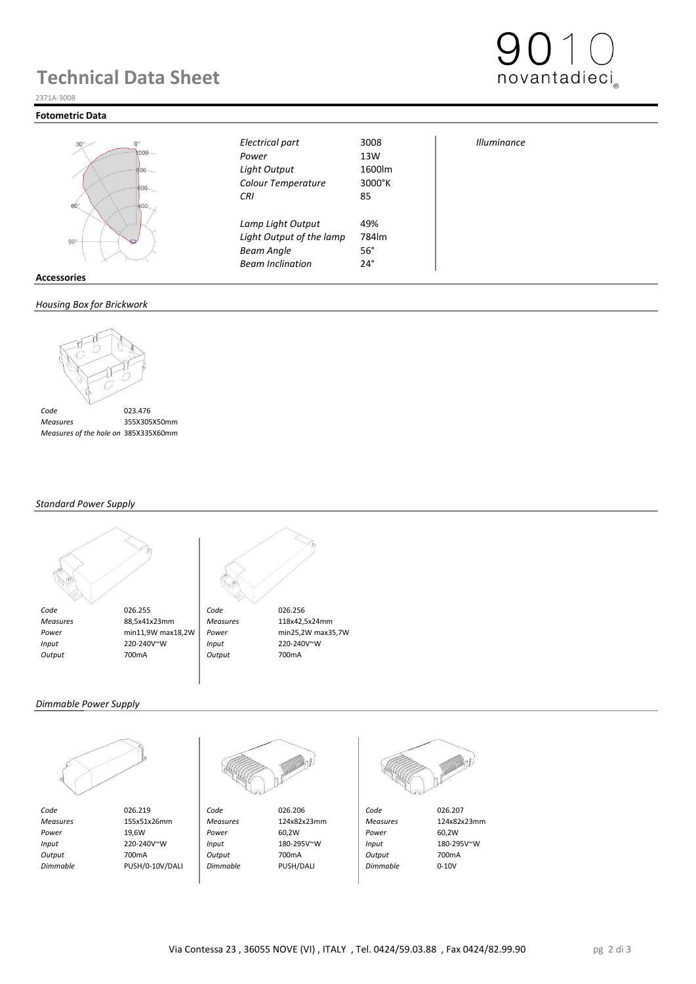### **Technical Data Sheet**



#### **Fotometric Data**



*Electrical part* 3008 *Illuminance Power* 13W *Light Output* 1600lm *Colour Temperature* 3000°K *CRI* 85 *Lamp Light Output* 49%<br>*Light Output of the lamp* 784lm

novantadieci

#### **Accessories**

#### *Housing Box for Brickwork*



 *Measures* 355X305X50mm *Measures of the hole on 385X335X60mm* 

#### *Standard Power Supply*





**Light Output of the lamp Beam Angle** 56° *Beam Inclination* 24°

#### *Dimmable Power Supply*







 *Code* 026.219 *Code* 026.206 *Code* 026.207  *Measures* 155x51x26mm *Measures* 124x82x23mm *Measures* 124x82x23mm  *Power* 19,6W *Power* 60,2W *Power* 60,2W  *Input* 220-240V~W *Input* 180-295V~W *Input* 180-295V~W  *Output* 700mA *Output* 700mA *Output* 700mA  *Dimmable* PUSH/0-10V/DALI *Dimmable* PUSH/DALI *Dimmable* 0-10V